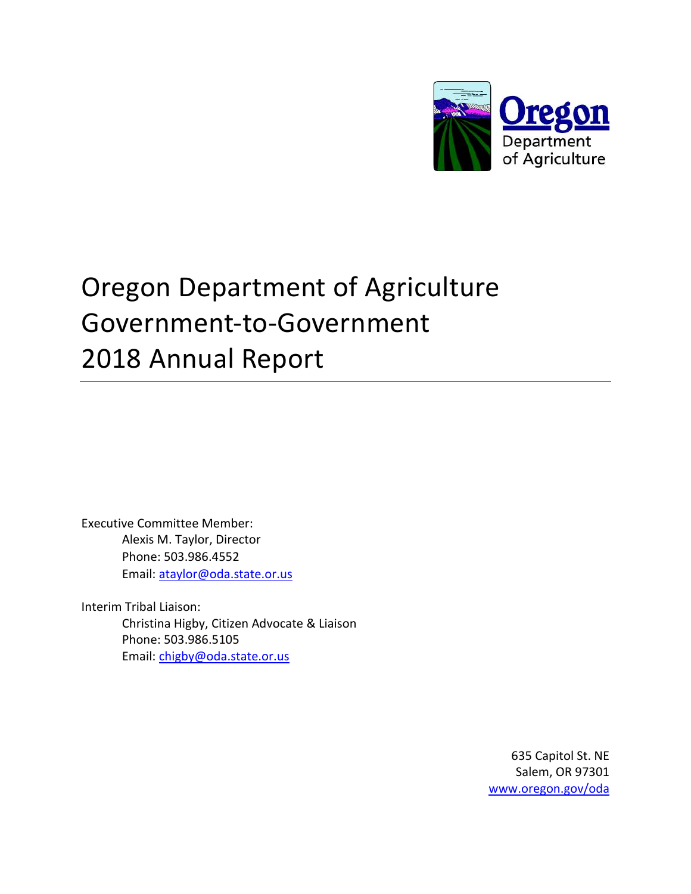

# Oregon Department of Agriculture Government-to-Government 2018 Annual Report

Executive Committee Member: Alexis M. Taylor, Director Phone: 503.986.4552 Email: ataylor@oda.state.or.us

Interim Tribal Liaison: Christina Higby, Citizen Advocate & Liaison Phone: 503.986.5105 Email: chigby@oda.state.or.us

> 635 Capitol St. NE Salem, OR 97301 www.oregon.gov/oda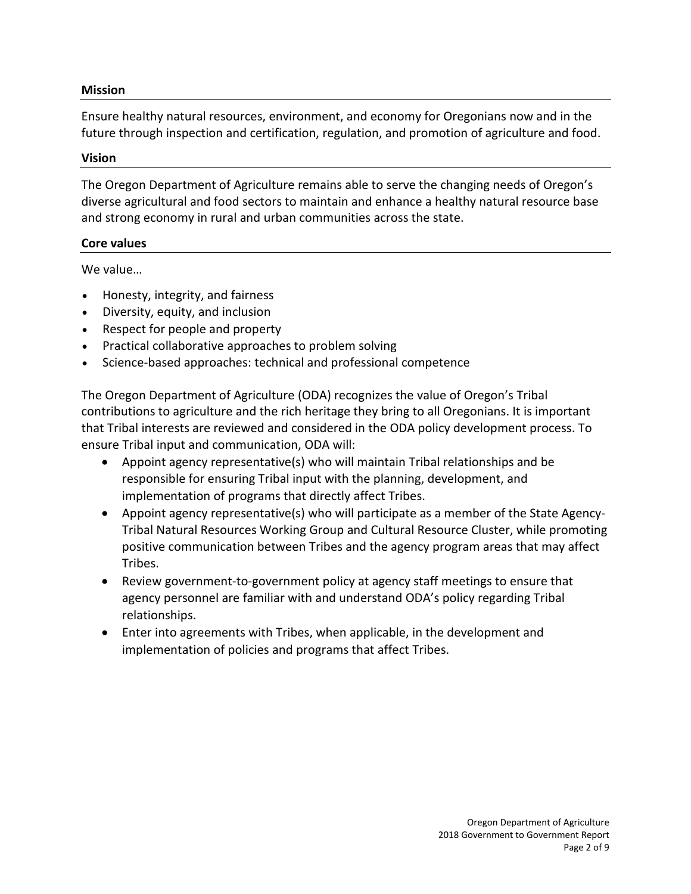#### **Mission**

Ensure healthy natural resources, environment, and economy for Oregonians now and in the future through inspection and certification, regulation, and promotion of agriculture and food.

#### **Vision**

The Oregon Department of Agriculture remains able to serve the changing needs of Oregon's diverse agricultural and food sectors to maintain and enhance a healthy natural resource base and strong economy in rural and urban communities across the state.

#### **Core values**

We value…

- Honesty, integrity, and fairness
- Diversity, equity, and inclusion
- Respect for people and property
- Practical collaborative approaches to problem solving
- Science-based approaches: technical and professional competence

The Oregon Department of Agriculture (ODA) recognizes the value of Oregon's Tribal contributions to agriculture and the rich heritage they bring to all Oregonians. It is important that Tribal interests are reviewed and considered in the ODA policy development process. To ensure Tribal input and communication, ODA will:

- Appoint agency representative(s) who will maintain Tribal relationships and be responsible for ensuring Tribal input with the planning, development, and implementation of programs that directly affect Tribes.
- Appoint agency representative(s) who will participate as a member of the State Agency-Tribal Natural Resources Working Group and Cultural Resource Cluster, while promoting positive communication between Tribes and the agency program areas that may affect Tribes.
- Review government-to-government policy at agency staff meetings to ensure that agency personnel are familiar with and understand ODA's policy regarding Tribal relationships.
- Enter into agreements with Tribes, when applicable, in the development and implementation of policies and programs that affect Tribes.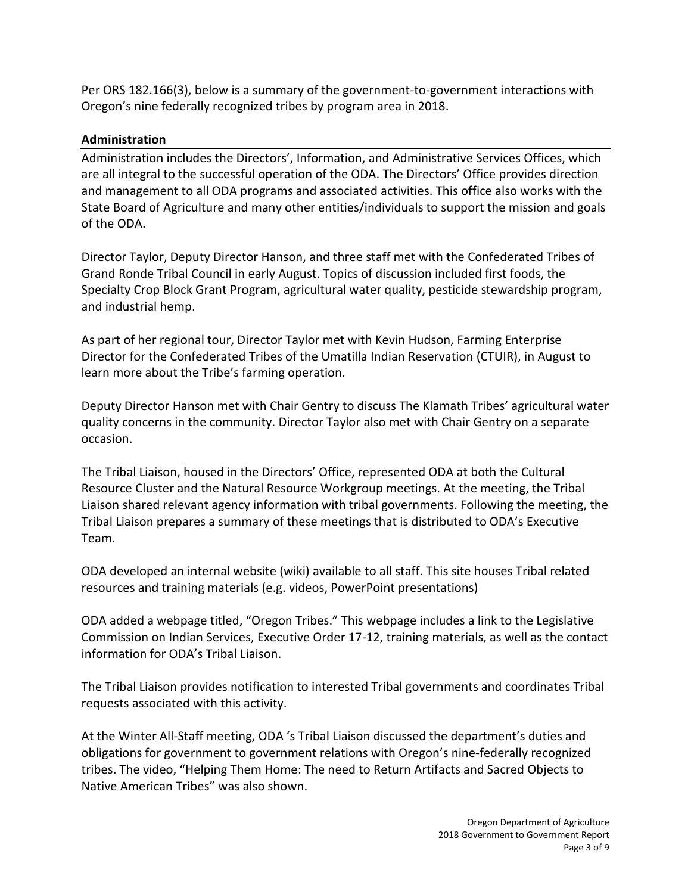Per ORS 182.166(3), below is a summary of the government-to-government interactions with Oregon's nine federally recognized tribes by program area in 2018.

## **Administration**

Administration includes the Directors', Information, and Administrative Services Offices, which are all integral to the successful operation of the ODA. The Directors' Office provides direction and management to all ODA programs and associated activities. This office also works with the State Board of Agriculture and many other entities/individuals to support the mission and goals of the ODA.

Director Taylor, Deputy Director Hanson, and three staff met with the Confederated Tribes of Grand Ronde Tribal Council in early August. Topics of discussion included first foods, the Specialty Crop Block Grant Program, agricultural water quality, pesticide stewardship program, and industrial hemp.

As part of her regional tour, Director Taylor met with Kevin Hudson, Farming Enterprise Director for the Confederated Tribes of the Umatilla Indian Reservation (CTUIR), in August to learn more about the Tribe's farming operation.

Deputy Director Hanson met with Chair Gentry to discuss The Klamath Tribes' agricultural water quality concerns in the community. Director Taylor also met with Chair Gentry on a separate occasion.

The Tribal Liaison, housed in the Directors' Office, represented ODA at both the Cultural Resource Cluster and the Natural Resource Workgroup meetings. At the meeting, the Tribal Liaison shared relevant agency information with tribal governments. Following the meeting, the Tribal Liaison prepares a summary of these meetings that is distributed to ODA's Executive Team.

ODA developed an internal website (wiki) available to all staff. This site houses Tribal related resources and training materials (e.g. videos, PowerPoint presentations)

ODA added a webpage titled, "Oregon Tribes." This webpage includes a link to the Legislative Commission on Indian Services, Executive Order 17-12, training materials, as well as the contact information for ODA's Tribal Liaison.

The Tribal Liaison provides notification to interested Tribal governments and coordinates Tribal requests associated with this activity.

At the Winter All-Staff meeting, ODA 's Tribal Liaison discussed the department's duties and obligations for government to government relations with Oregon's nine-federally recognized tribes. The video, "Helping Them Home: The need to Return Artifacts and Sacred Objects to Native American Tribes" was also shown.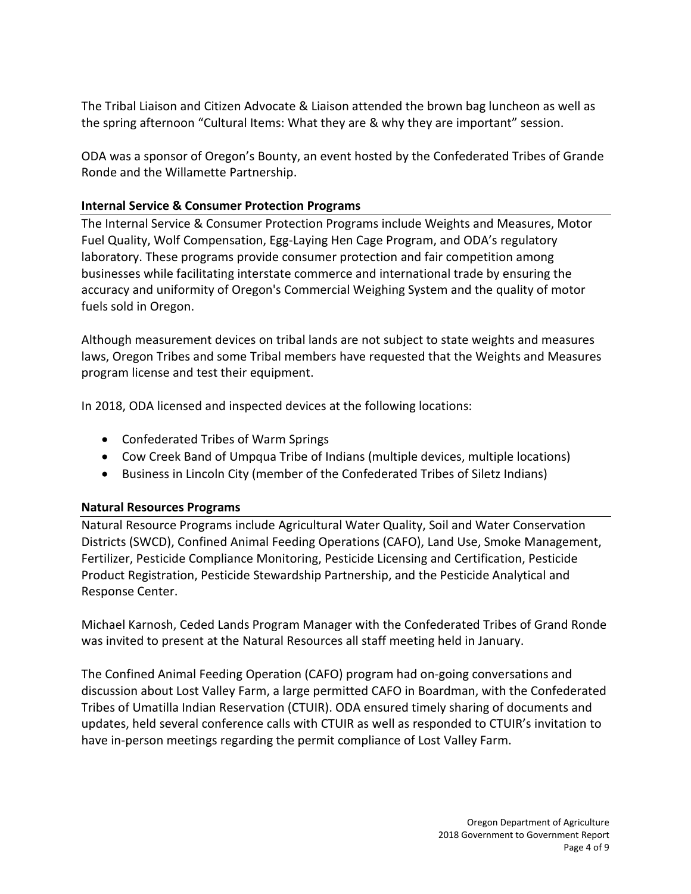The Tribal Liaison and Citizen Advocate & Liaison attended the brown bag luncheon as well as the spring afternoon "Cultural Items: What they are & why they are important" session.

ODA was a sponsor of Oregon's Bounty, an event hosted by the Confederated Tribes of Grande Ronde and the Willamette Partnership.

## **Internal Service & Consumer Protection Programs**

The Internal Service & Consumer Protection Programs include Weights and Measures, Motor Fuel Quality, Wolf Compensation, Egg-Laying Hen Cage Program, and ODA's regulatory laboratory. These programs provide consumer protection and fair competition among businesses while facilitating interstate commerce and international trade by ensuring the accuracy and uniformity of Oregon's Commercial Weighing System and the quality of motor fuels sold in Oregon.

Although measurement devices on tribal lands are not subject to state weights and measures laws, Oregon Tribes and some Tribal members have requested that the Weights and Measures program license and test their equipment.

In 2018, ODA licensed and inspected devices at the following locations:

- Confederated Tribes of Warm Springs
- Cow Creek Band of Umpqua Tribe of Indians (multiple devices, multiple locations)
- Business in Lincoln City (member of the Confederated Tribes of Siletz Indians)

## **Natural Resources Programs**

Natural Resource Programs include Agricultural Water Quality, Soil and Water Conservation Districts (SWCD), Confined Animal Feeding Operations (CAFO), Land Use, Smoke Management, Fertilizer, Pesticide Compliance Monitoring, Pesticide Licensing and Certification, Pesticide Product Registration, Pesticide Stewardship Partnership, and the Pesticide Analytical and Response Center.

Michael Karnosh, Ceded Lands Program Manager with the Confederated Tribes of Grand Ronde was invited to present at the Natural Resources all staff meeting held in January.

The Confined Animal Feeding Operation (CAFO) program had on-going conversations and discussion about Lost Valley Farm, a large permitted CAFO in Boardman, with the Confederated Tribes of Umatilla Indian Reservation (CTUIR). ODA ensured timely sharing of documents and updates, held several conference calls with CTUIR as well as responded to CTUIR's invitation to have in-person meetings regarding the permit compliance of Lost Valley Farm.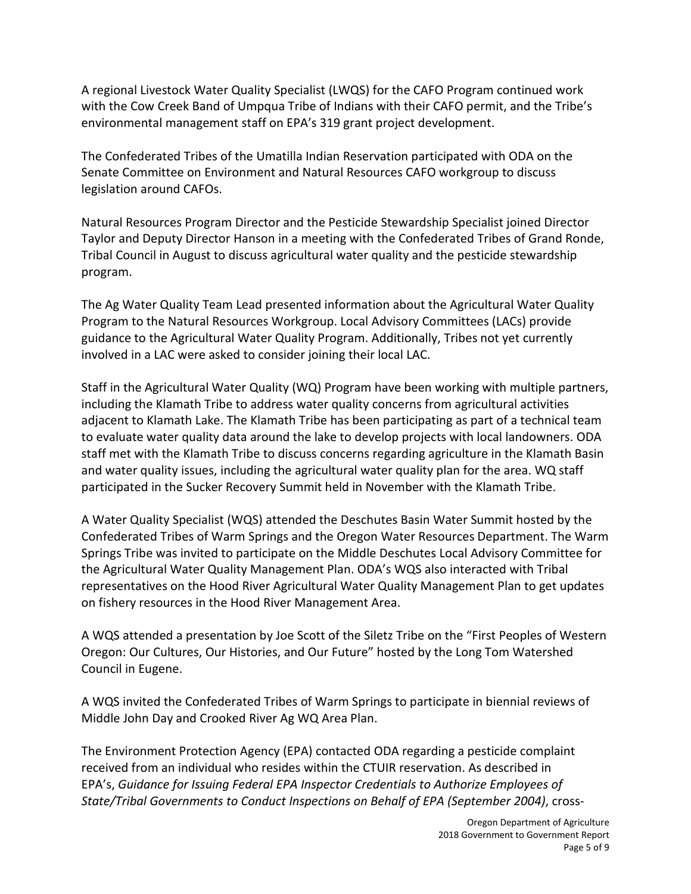A regional Livestock Water Quality Specialist (LWQS) for the CAFO Program continued work with the Cow Creek Band of Umpqua Tribe of Indians with their CAFO permit, and the Tribe's environmental management staff on EPA's 319 grant project development.

The Confederated Tribes of the Umatilla Indian Reservation participated with ODA on the Senate Committee on Environment and Natural Resources CAFO workgroup to discuss legislation around CAFOs.

Natural Resources Program Director and the Pesticide Stewardship Specialist joined Director Taylor and Deputy Director Hanson in a meeting with the Confederated Tribes of Grand Ronde, Tribal Council in August to discuss agricultural water quality and the pesticide stewardship program.

The Ag Water Quality Team Lead presented information about the Agricultural Water Quality Program to the Natural Resources Workgroup. Local Advisory Committees (LACs) provide guidance to the Agricultural Water Quality Program. Additionally, Tribes not yet currently involved in a LAC were asked to consider joining their local LAC.

Staff in the Agricultural Water Quality (WQ) Program have been working with multiple partners, including the Klamath Tribe to address water quality concerns from agricultural activities adjacent to Klamath Lake. The Klamath Tribe has been participating as part of a technical team to evaluate water quality data around the lake to develop projects with local landowners. ODA staff met with the Klamath Tribe to discuss concerns regarding agriculture in the Klamath Basin and water quality issues, including the agricultural water quality plan for the area. WQ staff participated in the Sucker Recovery Summit held in November with the Klamath Tribe.

A Water Quality Specialist (WQS) attended the Deschutes Basin Water Summit hosted by the Confederated Tribes of Warm Springs and the Oregon Water Resources Department. The Warm Springs Tribe was invited to participate on the Middle Deschutes Local Advisory Committee for the Agricultural Water Quality Management Plan. ODA's WQS also interacted with Tribal representatives on the Hood River Agricultural Water Quality Management Plan to get updates on fishery resources in the Hood River Management Area.

A WQS attended a presentation by Joe Scott of the Siletz Tribe on the "First Peoples of Western Oregon: Our Cultures, Our Histories, and Our Future" hosted by the Long Tom Watershed Council in Eugene.

A WQS invited the Confederated Tribes of Warm Springs to participate in biennial reviews of Middle John Day and Crooked River Ag WQ Area Plan.

The Environment Protection Agency (EPA) contacted ODA regarding a pesticide complaint received from an individual who resides within the CTUIR reservation. As described in EPA's, *Guidance for Issuing Federal EPA Inspector Credentials to Authorize Employees of State/Tribal Governments to Conduct Inspections on Behalf of EPA (September 2004)*, cross-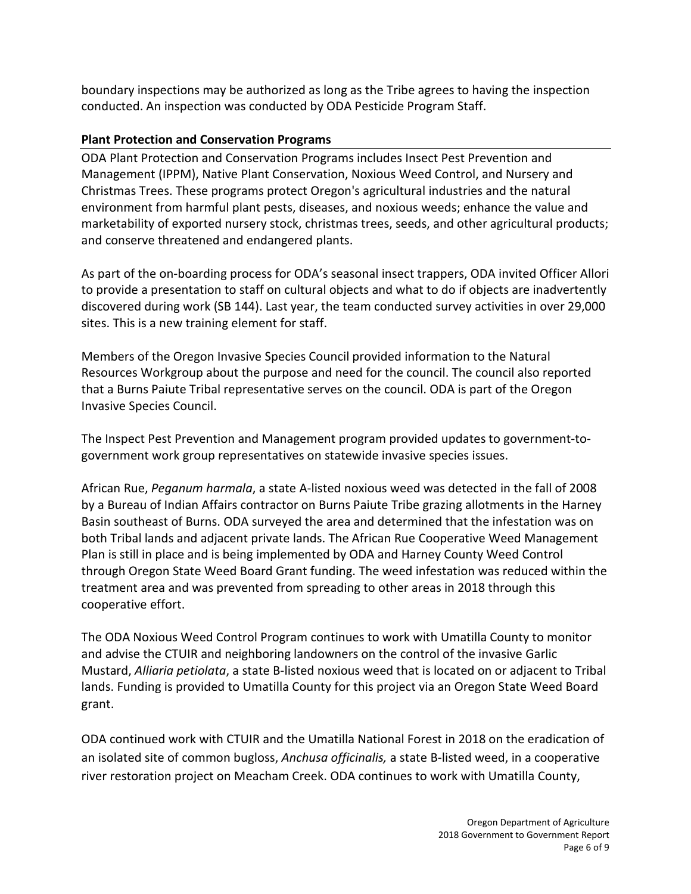boundary inspections may be authorized as long as the Tribe agrees to having the inspection conducted. An inspection was conducted by ODA Pesticide Program Staff.

## **Plant Protection and Conservation Programs**

ODA Plant Protection and Conservation Programs includes Insect Pest Prevention and Management (IPPM), Native Plant Conservation, Noxious Weed Control, and Nursery and Christmas Trees. These programs protect Oregon's agricultural industries and the natural environment from harmful plant pests, diseases, and noxious weeds; enhance the value and marketability of exported nursery stock, christmas trees, seeds, and other agricultural products; and conserve threatened and endangered plants.

As part of the on-boarding process for ODA's seasonal insect trappers, ODA invited Officer Allori to provide a presentation to staff on cultural objects and what to do if objects are inadvertently discovered during work (SB 144). Last year, the team conducted survey activities in over 29,000 sites. This is a new training element for staff.

Members of the Oregon Invasive Species Council provided information to the Natural Resources Workgroup about the purpose and need for the council. The council also reported that a Burns Paiute Tribal representative serves on the council. ODA is part of the Oregon Invasive Species Council.

The Inspect Pest Prevention and Management program provided updates to government-togovernment work group representatives on statewide invasive species issues.

African Rue, *Peganum harmala*, a state A-listed noxious weed was detected in the fall of 2008 by a Bureau of Indian Affairs contractor on Burns Paiute Tribe grazing allotments in the Harney Basin southeast of Burns. ODA surveyed the area and determined that the infestation was on both Tribal lands and adjacent private lands. The African Rue Cooperative Weed Management Plan is still in place and is being implemented by ODA and Harney County Weed Control through Oregon State Weed Board Grant funding. The weed infestation was reduced within the treatment area and was prevented from spreading to other areas in 2018 through this cooperative effort.

The ODA Noxious Weed Control Program continues to work with Umatilla County to monitor and advise the CTUIR and neighboring landowners on the control of the invasive Garlic Mustard, *Alliaria petiolata*, a state B-listed noxious weed that is located on or adjacent to Tribal lands. Funding is provided to Umatilla County for this project via an Oregon State Weed Board grant.

ODA continued work with CTUIR and the Umatilla National Forest in 2018 on the eradication of an isolated site of common bugloss, *Anchusa officinalis,* a state B-listed weed, in a cooperative river restoration project on Meacham Creek. ODA continues to work with Umatilla County,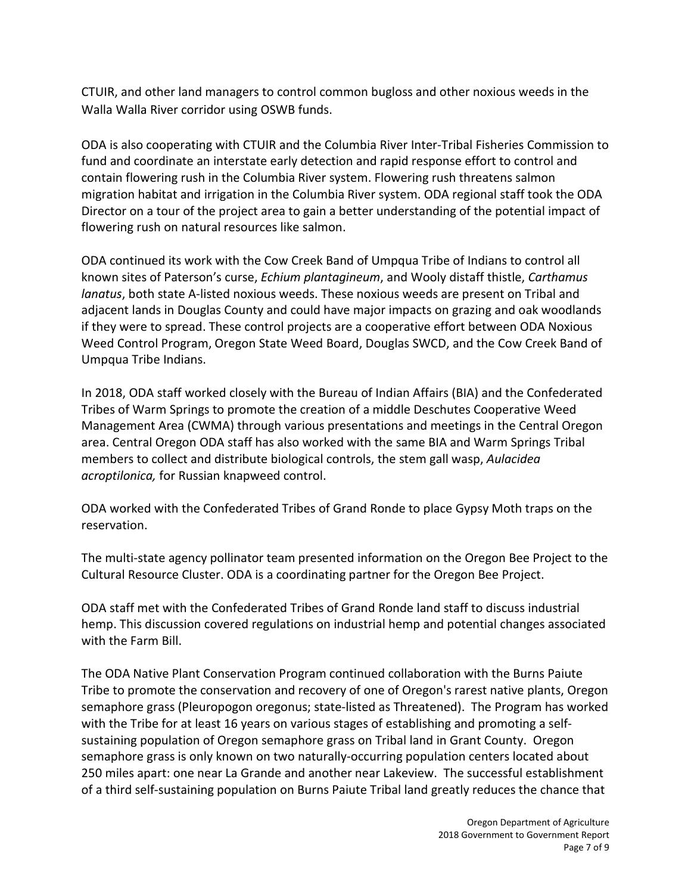CTUIR, and other land managers to control common bugloss and other noxious weeds in the Walla Walla River corridor using OSWB funds.

ODA is also cooperating with CTUIR and the Columbia River Inter-Tribal Fisheries Commission to fund and coordinate an interstate early detection and rapid response effort to control and contain flowering rush in the Columbia River system. Flowering rush threatens salmon migration habitat and irrigation in the Columbia River system. ODA regional staff took the ODA Director on a tour of the project area to gain a better understanding of the potential impact of flowering rush on natural resources like salmon.

ODA continued its work with the Cow Creek Band of Umpqua Tribe of Indians to control all known sites of Paterson's curse, *Echium plantagineum*, and Wooly distaff thistle, *Carthamus lanatus*, both state A-listed noxious weeds. These noxious weeds are present on Tribal and adjacent lands in Douglas County and could have major impacts on grazing and oak woodlands if they were to spread. These control projects are a cooperative effort between ODA Noxious Weed Control Program, Oregon State Weed Board, Douglas SWCD, and the Cow Creek Band of Umpqua Tribe Indians.

In 2018, ODA staff worked closely with the Bureau of Indian Affairs (BIA) and the Confederated Tribes of Warm Springs to promote the creation of a middle Deschutes Cooperative Weed Management Area (CWMA) through various presentations and meetings in the Central Oregon area. Central Oregon ODA staff has also worked with the same BIA and Warm Springs Tribal members to collect and distribute biological controls, the stem gall wasp, *Aulacidea acroptilonica,* for Russian knapweed control.

ODA worked with the Confederated Tribes of Grand Ronde to place Gypsy Moth traps on the reservation.

The multi-state agency pollinator team presented information on the Oregon Bee Project to the Cultural Resource Cluster. ODA is a coordinating partner for the Oregon Bee Project.

ODA staff met with the Confederated Tribes of Grand Ronde land staff to discuss industrial hemp. This discussion covered regulations on industrial hemp and potential changes associated with the Farm Bill.

The ODA Native Plant Conservation Program continued collaboration with the Burns Paiute Tribe to promote the conservation and recovery of one of Oregon's rarest native plants, Oregon semaphore grass (Pleuropogon oregonus; state-listed as Threatened). The Program has worked with the Tribe for at least 16 years on various stages of establishing and promoting a selfsustaining population of Oregon semaphore grass on Tribal land in Grant County. Oregon semaphore grass is only known on two naturally-occurring population centers located about 250 miles apart: one near La Grande and another near Lakeview. The successful establishment of a third self-sustaining population on Burns Paiute Tribal land greatly reduces the chance that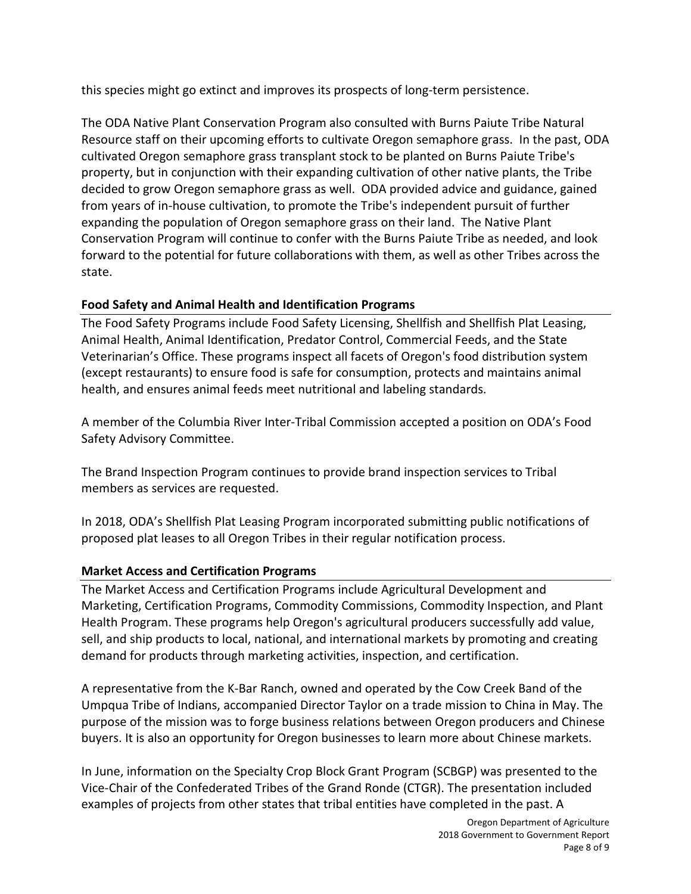this species might go extinct and improves its prospects of long-term persistence.

The ODA Native Plant Conservation Program also consulted with Burns Paiute Tribe Natural Resource staff on their upcoming efforts to cultivate Oregon semaphore grass. In the past, ODA cultivated Oregon semaphore grass transplant stock to be planted on Burns Paiute Tribe's property, but in conjunction with their expanding cultivation of other native plants, the Tribe decided to grow Oregon semaphore grass as well. ODA provided advice and guidance, gained from years of in-house cultivation, to promote the Tribe's independent pursuit of further expanding the population of Oregon semaphore grass on their land. The Native Plant Conservation Program will continue to confer with the Burns Paiute Tribe as needed, and look forward to the potential for future collaborations with them, as well as other Tribes across the state.

# **Food Safety and Animal Health and Identification Programs**

The Food Safety Programs include Food Safety Licensing, Shellfish and Shellfish Plat Leasing, Animal Health, Animal Identification, Predator Control, Commercial Feeds, and the State Veterinarian's Office. These programs inspect all facets of Oregon's food distribution system (except restaurants) to ensure food is safe for consumption, protects and maintains animal health, and ensures animal feeds meet nutritional and labeling standards.

A member of the Columbia River Inter-Tribal Commission accepted a position on ODA's Food Safety Advisory Committee.

The Brand Inspection Program continues to provide brand inspection services to Tribal members as services are requested.

In 2018, ODA's Shellfish Plat Leasing Program incorporated submitting public notifications of proposed plat leases to all Oregon Tribes in their regular notification process.

# **Market Access and Certification Programs**

The Market Access and Certification Programs include Agricultural Development and Marketing, Certification Programs, Commodity Commissions, Commodity Inspection, and Plant Health Program. These programs help Oregon's agricultural producers successfully add value, sell, and ship products to local, national, and international markets by promoting and creating demand for products through marketing activities, inspection, and certification.

A representative from the K-Bar Ranch, owned and operated by the Cow Creek Band of the Umpqua Tribe of Indians, accompanied Director Taylor on a trade mission to China in May. The purpose of the mission was to forge business relations between Oregon producers and Chinese buyers. It is also an opportunity for Oregon businesses to learn more about Chinese markets.

In June, information on the Specialty Crop Block Grant Program (SCBGP) was presented to the Vice-Chair of the Confederated Tribes of the Grand Ronde (CTGR). The presentation included examples of projects from other states that tribal entities have completed in the past. A